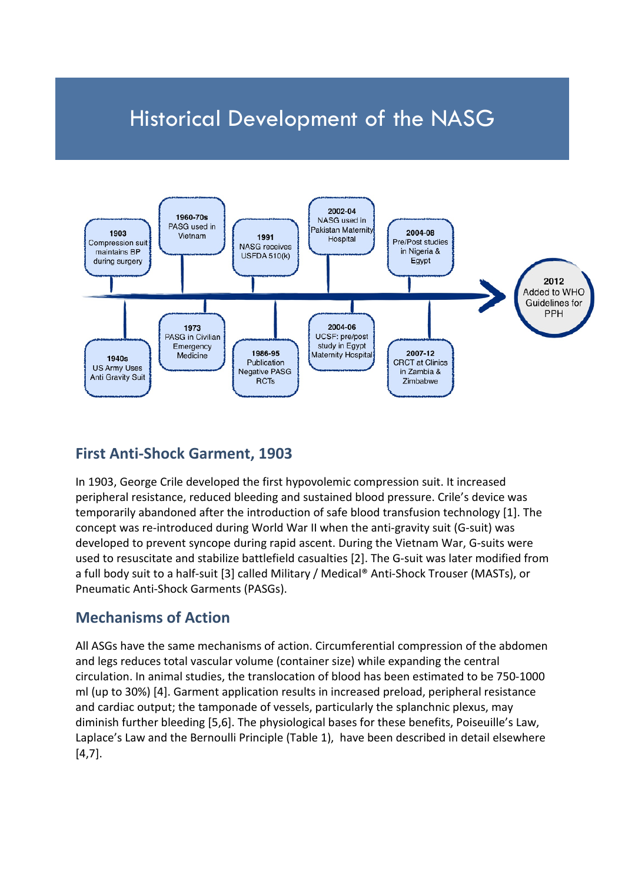# Historical Development of the NASG



## **First Anti-Shock Garment, 1903**

In 1903, George Crile developed the first hypovolemic compression suit. It increased peripheral resistance, reduced bleeding and sustained blood pressure. Crile's device was temporarily abandoned after the introduction of safe blood transfusion technology [\[1\]](#page-8-0). The concept was re-introduced during World War II when the anti-gravity suit (G-suit) was developed to prevent syncope during rapid ascent. During the Vietnam War, G-suits were used to resuscitate and stabilize battlefield casualties [\[2\]](#page-8-1). The G-suit was later modified from a full body suit to a half-suit [\[3\]](#page-8-2) called Military / Medical® Anti-Shock Trouser (MASTs), or Pneumatic Anti-Shock Garments (PASGs).

## **Mechanisms of Action**

All ASGs have the same mechanisms of action. Circumferential compression of the abdomen and legs reduces total vascular volume (container size) while expanding the central circulation. In animal studies, the translocation of blood has been estimated to be 750-1000 ml (up to 30%) [\[4\]](#page-8-3). Garment application results in increased preload, peripheral resistance and cardiac output; the tamponade of vessels, particularly the splanchnic plexus, may diminish further bleeding [\[5](#page-8-4)[,6\]](#page-8-5). The physiological bases for these benefits, Poiseuille's Law, Laplace's Law and the Bernoulli Principle (Table 1), have been described in detail elsewhere [\[4,](#page-8-3)[7\]](#page-8-6).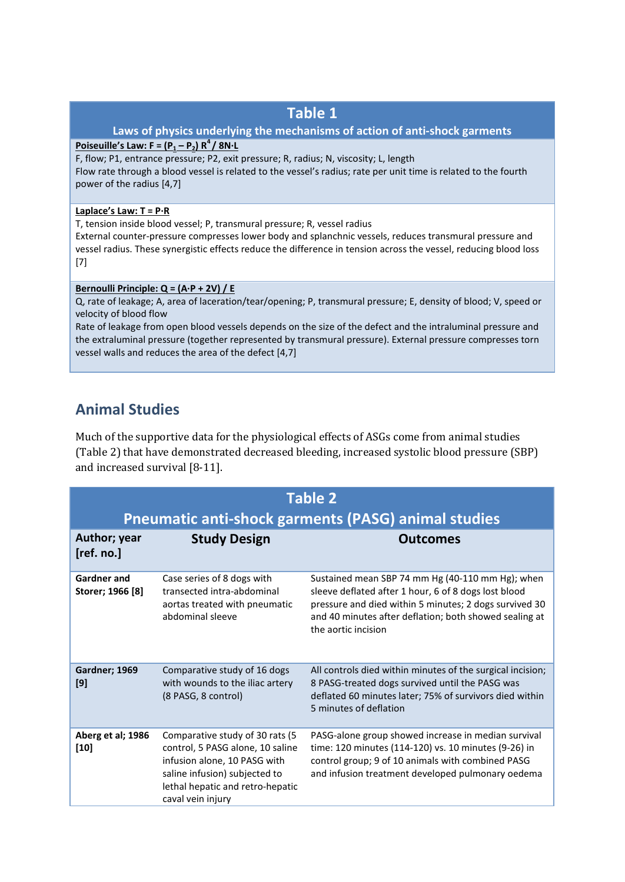### **Table 1**

#### **Laws of physics underlying the mechanisms of action of anti-shock garments**

#### **Poiseuille's Law: F =**  $(P_1 - P_2) R^4 / 8N \cdot L$

F, flow; P1, entrance pressure; P2, exit pressure; R, radius; N, viscosity; L, length Flow rate through a blood vessel is related to the vessel's radius; rate per unit time is related to the fourth power of the radius [4,7]

#### **Laplace's Law: T = P·R**

T, tension inside blood vessel; P, transmural pressure; R, vessel radius

External counter-pressure compresses lower body and splanchnic vessels, reduces transmural pressure and vessel radius. These synergistic effects reduce the difference in tension across the vessel, reducing blood loss [7]

#### **Bernoulli Principle: Q = (A·P + 2V) / E**

Q, rate of leakage; A, area of laceration/tear/opening; P, transmural pressure; E, density of blood; V, speed or velocity of blood flow

Rate of leakage from open blood vessels depends on the size of the defect and the intraluminal pressure and the extraluminal pressure (together represented by transmural pressure). External pressure compresses torn vessel walls and reduces the area of the defect [4,7]

## **Animal Studies**

Much of the supportive data for the physiological effects of ASGs come from animal studies (Table 2) that have demonstrated decreased bleeding, increased systolic blood pressure (SBP) and increased survival [\[8-11\]](#page-8-7).

| <b>Table 2</b>                                             |                                                                                                                                                                                                |                                                                                                                                                                                                                                                     |  |  |  |
|------------------------------------------------------------|------------------------------------------------------------------------------------------------------------------------------------------------------------------------------------------------|-----------------------------------------------------------------------------------------------------------------------------------------------------------------------------------------------------------------------------------------------------|--|--|--|
| <b>Pneumatic anti-shock garments (PASG) animal studies</b> |                                                                                                                                                                                                |                                                                                                                                                                                                                                                     |  |  |  |
| Author; year<br>[ref. no.]                                 | <b>Study Design</b>                                                                                                                                                                            | <b>Outcomes</b>                                                                                                                                                                                                                                     |  |  |  |
| <b>Gardner and</b><br>Storer; 1966 [8]                     | Case series of 8 dogs with<br>transected intra-abdominal<br>aortas treated with pneumatic<br>abdominal sleeve                                                                                  | Sustained mean SBP 74 mm Hg (40-110 mm Hg); when<br>sleeve deflated after 1 hour, 6 of 8 dogs lost blood<br>pressure and died within 5 minutes; 2 dogs survived 30<br>and 40 minutes after deflation; both showed sealing at<br>the aortic incision |  |  |  |
| Gardner; 1969<br>[9]                                       | Comparative study of 16 dogs<br>with wounds to the iliac artery<br>(8 PASG, 8 control)                                                                                                         | All controls died within minutes of the surgical incision;<br>8 PASG-treated dogs survived until the PASG was<br>deflated 60 minutes later; 75% of survivors died within<br>5 minutes of deflation                                                  |  |  |  |
| Aberg et al; 1986<br>$[10]$                                | Comparative study of 30 rats (5)<br>control, 5 PASG alone, 10 saline<br>infusion alone, 10 PASG with<br>saline infusion) subjected to<br>lethal hepatic and retro-hepatic<br>caval vein injury | PASG-alone group showed increase in median survival<br>time: 120 minutes (114-120) vs. 10 minutes (9-26) in<br>control group; 9 of 10 animals with combined PASG<br>and infusion treatment developed pulmonary oedema                               |  |  |  |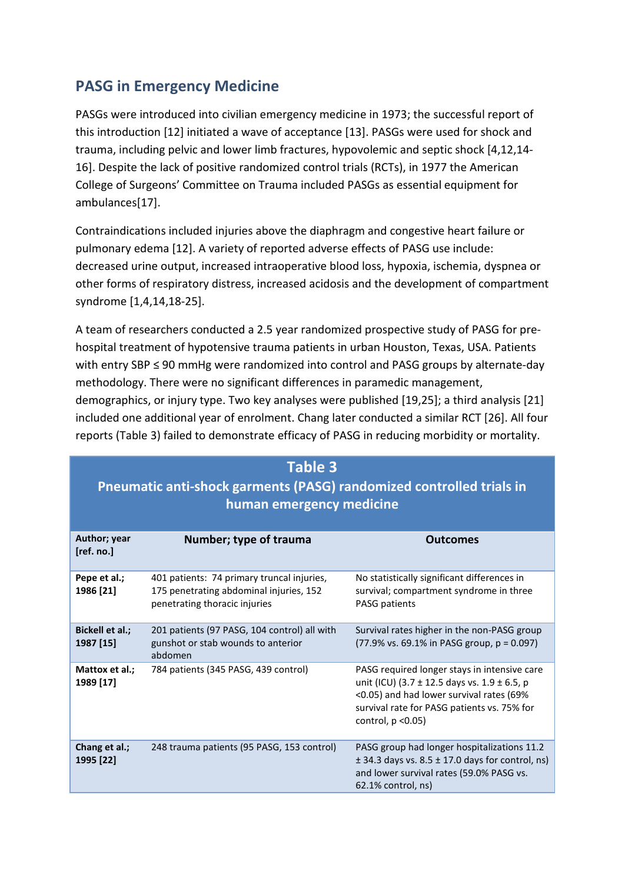## **PASG in Emergency Medicine**

PASGs were introduced into civilian emergency medicine in 1973; the successful report of this introduction [\[12\]](#page-8-8) initiated a wave of acceptance [\[13\]](#page-8-9). PASGs were used for shock and trauma, including pelvic and lower limb fractures, hypovolemic and septic shock [\[4,](#page-8-3)[12,](#page-8-8)[14-](#page-8-10) [16\]](#page-8-10). Despite the lack of positive randomized control trials (RCTs), in 1977 the American College of Surgeons' Committee on Trauma included PASGs as essential equipment for ambulances[\[17\]](#page-8-11).

Contraindications included injuries above the diaphragm and congestive heart failure or pulmonary edema [\[12\]](#page-8-8). A variety of reported adverse effects of PASG use include: decreased urine output, increased intraoperative blood loss, hypoxia, ischemia, dyspnea or other forms of respiratory distress, increased acidosis and the development of compartment syndrome [\[1,](#page-8-0)[4,](#page-8-3)[14](#page-8-10)[,18-25\]](#page-8-12).

A team of researchers conducted a 2.5 year randomized prospective study of PASG for prehospital treatment of hypotensive trauma patients in urban Houston, Texas, USA. Patients with entry SBP ≤ 90 mmHg were randomized into control and PASG groups by alternate-day methodology. There were no significant differences in paramedic management, demographics, or injury type. Two key analyses were published [\[19](#page-8-13)[,25\]](#page-9-0); a third analysis [\[21\]](#page-9-1) included one additional year of enrolment. Chang later conducted a similar RCT [\[26\]](#page-9-2). All four reports (Table 3) failed to demonstrate efficacy of PASG in reducing morbidity or mortality.

#### **Table 3**

## **Pneumatic anti-shock garments (PASG) randomized controlled trials in human emergency medicine**

| Author; year<br>[ref. no.]   | Number; type of trauma                                                                                                 | <b>Outcomes</b>                                                                                                                                                                                                    |
|------------------------------|------------------------------------------------------------------------------------------------------------------------|--------------------------------------------------------------------------------------------------------------------------------------------------------------------------------------------------------------------|
| Pepe et al.;<br>1986 [21]    | 401 patients: 74 primary truncal injuries,<br>175 penetrating abdominal injuries, 152<br>penetrating thoracic injuries | No statistically significant differences in<br>survival; compartment syndrome in three<br><b>PASG patients</b>                                                                                                     |
| Bickell et al.;<br>1987 [15] | 201 patients (97 PASG, 104 control) all with<br>gunshot or stab wounds to anterior<br>abdomen                          | Survival rates higher in the non-PASG group<br>$(77.9\% \text{ vs. } 69.1\% \text{ in PASG group}, p = 0.097)$                                                                                                     |
| Mattox et al.;<br>1989 [17]  | 784 patients (345 PASG, 439 control)                                                                                   | PASG required longer stays in intensive care<br>unit (ICU) (3.7 ± 12.5 days vs. 1.9 ± 6.5, p<br><0.05) and had lower survival rates (69%<br>survival rate for PASG patients vs. 75% for<br>control, $p \le 0.05$ ) |
| Chang et al.;<br>1995 [22]   | 248 trauma patients (95 PASG, 153 control)                                                                             | PASG group had longer hospitalizations 11.2<br>$\pm$ 34.3 days vs. 8.5 $\pm$ 17.0 days for control, ns)<br>and lower survival rates (59.0% PASG vs.<br>$62.1\%$ control, ns)                                       |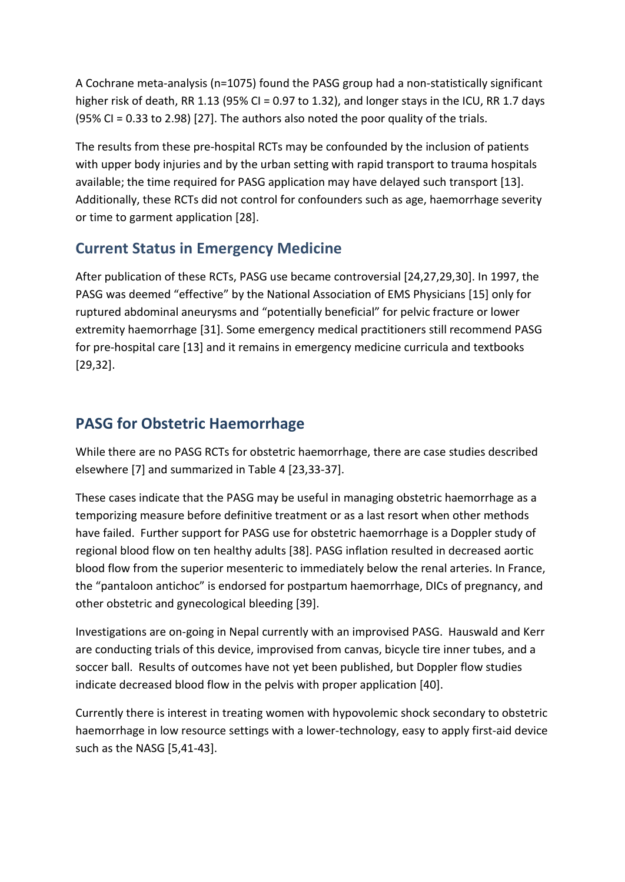A Cochrane meta-analysis (n=1075) found the PASG group had a non-statistically significant higher risk of death, RR 1.13 (95% CI = 0.97 to 1.32), and longer stays in the ICU, RR 1.7 days (95% CI = 0.33 to 2.98) [\[27\]](#page-9-3). The authors also noted the poor quality of the trials.

The results from these pre-hospital RCTs may be confounded by the inclusion of patients with upper body injuries and by the urban setting with rapid transport to trauma hospitals available; the time required for PASG application may have delayed such transport [\[13\]](#page-8-9). Additionally, these RCTs did not control for confounders such as age, haemorrhage severity or time to garment application [\[28\]](#page-9-4).

## **Current Status in Emergency Medicine**

After publication of these RCTs, PASG use became controversial [\[24](#page-9-5)[,27](#page-9-3)[,29](#page-9-6)[,30\]](#page-9-7). In 1997, the PASG was deemed "effective" by the National Association of EMS Physicians [\[15\]](#page-8-14) only for ruptured abdominal aneurysms and "potentially beneficial" for pelvic fracture or lower extremity haemorrhage [\[31\]](#page-9-8). Some emergency medical practitioners still recommend PASG for pre-hospital care [\[13\]](#page-8-9) and it remains in emergency medicine curricula and textbooks [\[29,](#page-9-6)[32\]](#page-9-9).

## **PASG for Obstetric Haemorrhage**

While there are no PASG RCTs for obstetric haemorrhage, there are case studies described elsewhere [\[7\]](#page-8-6) and summarized in Table 4 [\[23](#page-9-10)[,33-37\]](#page-9-11).

These cases indicate that the PASG may be useful in managing obstetric haemorrhage as a temporizing measure before definitive treatment or as a last resort when other methods have failed. Further support for PASG use for obstetric haemorrhage is a Doppler study of regional blood flow on ten healthy adults [\[38\]](#page-9-12). PASG inflation resulted in decreased aortic blood flow from the superior mesenteric to immediately below the renal arteries. In France, the "pantaloon antichoc" is endorsed for postpartum haemorrhage, DICs of pregnancy, and other obstetric and gynecological bleeding [\[39\]](#page-9-13).

Investigations are on-going in Nepal currently with an improvised PASG. Hauswald and Kerr are conducting trials of this device, improvised from canvas, bicycle tire inner tubes, and a soccer ball. Results of outcomes have not yet been published, but Doppler flow studies indicate decreased blood flow in the pelvis with proper application [\[40\]](#page-9-14).

Currently there is interest in treating women with hypovolemic shock secondary to obstetric haemorrhage in low resource settings with a lower-technology, easy to apply first-aid device such as the NASG [\[5](#page-8-4)[,41-43\]](#page-10-0).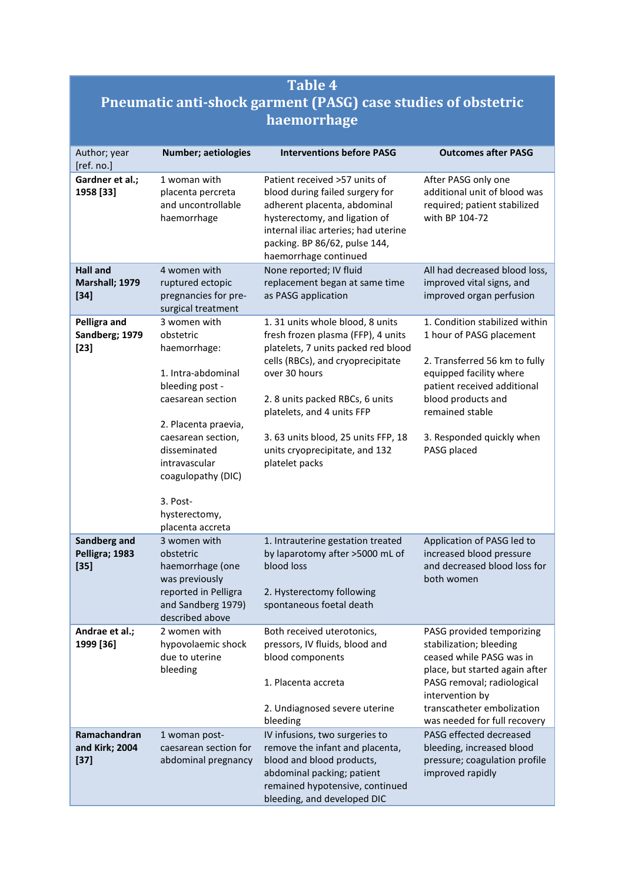## **Table 4 Pneumatic anti-shock garment (PASG) case studies of obstetric haemorrhage**

| Author; year<br>[ref. no.]                  | Number; aetiologies                                                                                                                                                                                                                                           | <b>Interventions before PASG</b>                                                                                                                                                                                                                                                                                               | <b>Outcomes after PASG</b>                                                                                                                                                                                                                 |
|---------------------------------------------|---------------------------------------------------------------------------------------------------------------------------------------------------------------------------------------------------------------------------------------------------------------|--------------------------------------------------------------------------------------------------------------------------------------------------------------------------------------------------------------------------------------------------------------------------------------------------------------------------------|--------------------------------------------------------------------------------------------------------------------------------------------------------------------------------------------------------------------------------------------|
| Gardner et al.;<br>1958 [33]                | 1 woman with<br>placenta percreta<br>and uncontrollable<br>haemorrhage                                                                                                                                                                                        | Patient received >57 units of<br>blood during failed surgery for<br>adherent placenta, abdominal<br>hysterectomy, and ligation of<br>internal iliac arteries; had uterine<br>packing. BP 86/62, pulse 144,<br>haemorrhage continued                                                                                            | After PASG only one<br>additional unit of blood was<br>required; patient stabilized<br>with BP 104-72                                                                                                                                      |
| <b>Hall and</b><br>Marshall; 1979<br>$[34]$ | 4 women with<br>ruptured ectopic<br>pregnancies for pre-<br>surgical treatment                                                                                                                                                                                | None reported; IV fluid<br>replacement began at same time<br>as PASG application                                                                                                                                                                                                                                               | All had decreased blood loss,<br>improved vital signs, and<br>improved organ perfusion                                                                                                                                                     |
| Pelligra and<br>Sandberg; 1979<br>$[23]$    | 3 women with<br>obstetric<br>haemorrhage:<br>1. Intra-abdominal<br>bleeding post -<br>caesarean section<br>2. Placenta praevia,<br>caesarean section,<br>disseminated<br>intravascular<br>coagulopathy (DIC)<br>3. Post-<br>hysterectomy,<br>placenta accreta | 1. 31 units whole blood, 8 units<br>fresh frozen plasma (FFP), 4 units<br>platelets, 7 units packed red blood<br>cells (RBCs), and cryoprecipitate<br>over 30 hours<br>2. 8 units packed RBCs, 6 units<br>platelets, and 4 units FFP<br>3.63 units blood, 25 units FFP, 18<br>units cryoprecipitate, and 132<br>platelet packs | 1. Condition stabilized within<br>1 hour of PASG placement<br>2. Transferred 56 km to fully<br>equipped facility where<br>patient received additional<br>blood products and<br>remained stable<br>3. Responded quickly when<br>PASG placed |
| Sandberg and<br>Pelligra; 1983<br>$[35]$    | 3 women with<br>obstetric<br>haemorrhage (one<br>was previously<br>reported in Pelligra<br>and Sandberg 1979)<br>described above                                                                                                                              | 1. Intrauterine gestation treated<br>by laparotomy after >5000 mL of<br>blood loss<br>2. Hysterectomy following<br>spontaneous foetal death                                                                                                                                                                                    | Application of PASG led to<br>increased blood pressure<br>and decreased blood loss for<br>both women                                                                                                                                       |
| Andrae et al.;<br>1999 [36]                 | 2 women with<br>hypovolaemic shock<br>due to uterine<br>bleeding                                                                                                                                                                                              | Both received uterotonics,<br>pressors, IV fluids, blood and<br>blood components<br>1. Placenta accreta<br>2. Undiagnosed severe uterine<br>bleeding                                                                                                                                                                           | PASG provided temporizing<br>stabilization; bleeding<br>ceased while PASG was in<br>place, but started again after<br>PASG removal; radiological<br>intervention by<br>transcatheter embolization<br>was needed for full recovery          |
| Ramachandran<br>and Kirk; 2004<br>$[37]$    | 1 woman post-<br>caesarean section for<br>abdominal pregnancy                                                                                                                                                                                                 | IV infusions, two surgeries to<br>remove the infant and placenta,<br>blood and blood products,<br>abdominal packing; patient<br>remained hypotensive, continued<br>bleeding, and developed DIC                                                                                                                                 | PASG effected decreased<br>bleeding, increased blood<br>pressure; coagulation profile<br>improved rapidly                                                                                                                                  |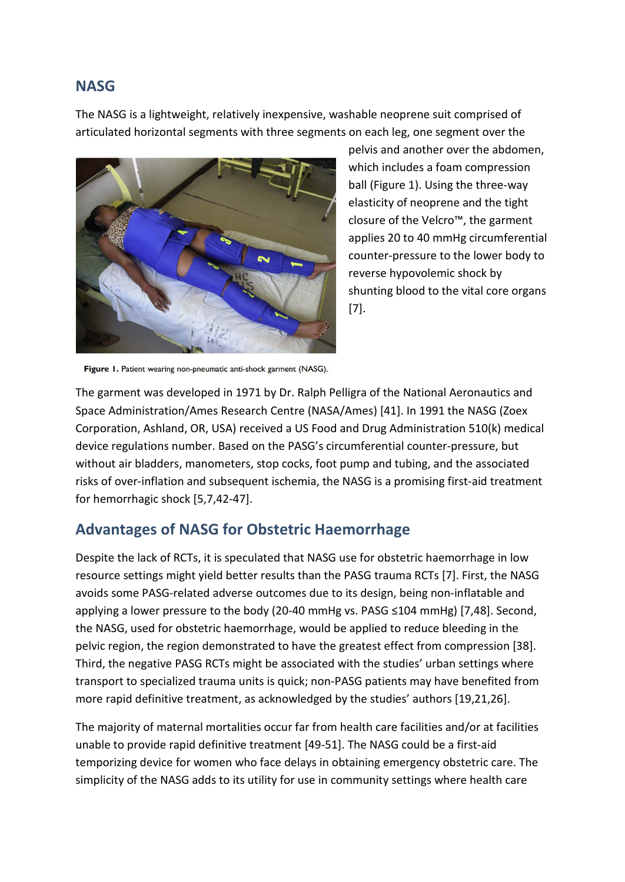## **NASG**

The NASG is a lightweight, relatively inexpensive, washable neoprene suit comprised of articulated horizontal segments with three segments on each leg, one segment over the



pelvis and another over the abdomen, which includes a foam compression ball (Figure 1). Using the three-way elasticity of neoprene and the tight closure of the Velcro™, the garment applies 20 to 40 mmHg circumferential counter-pressure to the lower body to reverse hypovolemic shock by shunting blood to the vital core organs [\[7\]](#page-8-6).

Figure 1. Patient wearing non-pneumatic anti-shock garment (NASG).

The garment was developed in 1971 by Dr. Ralph Pelligra of the National Aeronautics and Space Administration/Ames Research Centre (NASA/Ames) [\[41\]](#page-10-0). In 1991 the NASG (Zoex Corporation, Ashland, OR, USA) received a US Food and Drug Administration 510(k) medical device regulations number. Based on the PASG's circumferential counter-pressure, but without air bladders, manometers, stop cocks, foot pump and tubing, and the associated risks of over-inflation and subsequent ischemia, the NASG is a promising first-aid treatment for hemorrhagic shock [\[5](#page-8-4)[,7](#page-8-6)[,42-47\]](#page-10-1).

### **Advantages of NASG for Obstetric Haemorrhage**

Despite the lack of RCTs, it is speculated that NASG use for obstetric haemorrhage in low resource settings might yield better results than the PASG trauma RCTs [\[7\]](#page-8-6). First, the NASG avoids some PASG-related adverse outcomes due to its design, being non-inflatable and applying a lower pressure to the body (20-40 mmHg vs. PASG ≤104 mmHg) [\[7](#page-8-6)[,48\]](#page-10-2). Second, the NASG, used for obstetric haemorrhage, would be applied to reduce bleeding in the pelvic region, the region demonstrated to have the greatest effect from compression [\[38\]](#page-9-12). Third, the negative PASG RCTs might be associated with the studies' urban settings where transport to specialized trauma units is quick; non-PASG patients may have benefited from more rapid definitive treatment, as acknowledged by the studies' authors [\[19](#page-8-13)[,21](#page-9-1)[,26\]](#page-9-2).

The majority of maternal mortalities occur far from health care facilities and/or at facilities unable to provide rapid definitive treatment [\[49-51\]](#page-10-3). The NASG could be a first-aid temporizing device for women who face delays in obtaining emergency obstetric care. The simplicity of the NASG adds to its utility for use in community settings where health care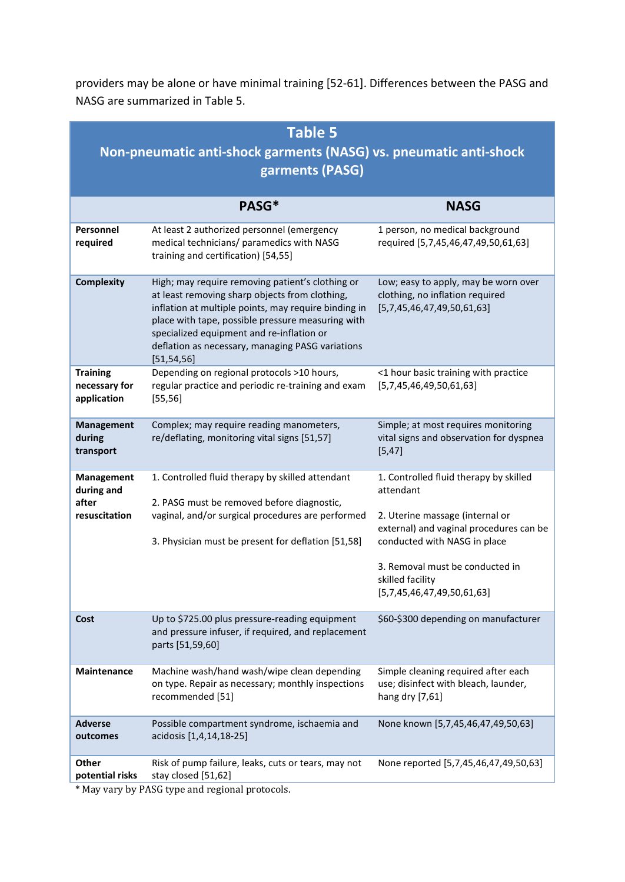providers may be alone or have minimal training [\[52-61\]](#page-10-4). Differences between the PASG and NASG are summarized in Table 5.

| <b>Table 5</b><br>Non-pneumatic anti-shock garments (NASG) vs. pneumatic anti-shock<br>garments (PASG) |                                                                                                                                                                                                                                                                                                                                  |                                                                                                                                                                                                                          |  |  |  |
|--------------------------------------------------------------------------------------------------------|----------------------------------------------------------------------------------------------------------------------------------------------------------------------------------------------------------------------------------------------------------------------------------------------------------------------------------|--------------------------------------------------------------------------------------------------------------------------------------------------------------------------------------------------------------------------|--|--|--|
|                                                                                                        | PASG*                                                                                                                                                                                                                                                                                                                            | <b>NASG</b>                                                                                                                                                                                                              |  |  |  |
| Personnel<br>required                                                                                  | At least 2 authorized personnel (emergency<br>medical technicians/ paramedics with NASG<br>training and certification) [54,55]                                                                                                                                                                                                   | 1 person, no medical background<br>required [5,7,45,46,47,49,50,61,63]                                                                                                                                                   |  |  |  |
| <b>Complexity</b>                                                                                      | High; may require removing patient's clothing or<br>at least removing sharp objects from clothing,<br>inflation at multiple points, may require binding in<br>place with tape, possible pressure measuring with<br>specialized equipment and re-inflation or<br>deflation as necessary, managing PASG variations<br>[51, 54, 56] | Low; easy to apply, may be worn over<br>clothing, no inflation required<br>[5,7,45,46,47,49,50,61,63]                                                                                                                    |  |  |  |
| <b>Training</b><br>necessary for<br>application                                                        | Depending on regional protocols >10 hours,<br>regular practice and periodic re-training and exam<br>[55, 56]                                                                                                                                                                                                                     | <1 hour basic training with practice<br>[5,7,45,46,49,50,61,63]                                                                                                                                                          |  |  |  |
| <b>Management</b><br>during<br>transport                                                               | Complex; may require reading manometers,<br>re/deflating, monitoring vital signs [51,57]                                                                                                                                                                                                                                         | Simple; at most requires monitoring<br>vital signs and observation for dyspnea<br>[5, 47]                                                                                                                                |  |  |  |
| <b>Management</b><br>during and<br>after<br>resuscitation                                              | 1. Controlled fluid therapy by skilled attendant<br>2. PASG must be removed before diagnostic,<br>vaginal, and/or surgical procedures are performed<br>3. Physician must be present for deflation [51,58]                                                                                                                        | 1. Controlled fluid therapy by skilled<br>attendant<br>2. Uterine massage (internal or<br>external) and vaginal procedures can be<br>conducted with NASG in place<br>3. Removal must be conducted in<br>skilled facility |  |  |  |
|                                                                                                        |                                                                                                                                                                                                                                                                                                                                  | [5,7,45,46,47,49,50,61,63]                                                                                                                                                                                               |  |  |  |
| Cost                                                                                                   | Up to \$725.00 plus pressure-reading equipment<br>and pressure infuser, if required, and replacement<br>parts [51,59,60]                                                                                                                                                                                                         | \$60-\$300 depending on manufacturer                                                                                                                                                                                     |  |  |  |
| Maintenance                                                                                            | Machine wash/hand wash/wipe clean depending<br>on type. Repair as necessary; monthly inspections<br>recommended [51]                                                                                                                                                                                                             | Simple cleaning required after each<br>use; disinfect with bleach, launder,<br>hang dry [7,61]                                                                                                                           |  |  |  |
| <b>Adverse</b><br>outcomes                                                                             | Possible compartment syndrome, ischaemia and<br>acidosis [1,4,14,18-25]                                                                                                                                                                                                                                                          | None known [5,7,45,46,47,49,50,63]                                                                                                                                                                                       |  |  |  |
| Other<br>potential risks                                                                               | Risk of pump failure, leaks, cuts or tears, may not<br>stay closed [51,62]                                                                                                                                                                                                                                                       | None reported [5,7,45,46,47,49,50,63]                                                                                                                                                                                    |  |  |  |

\* May vary by PASG type and regional protocols.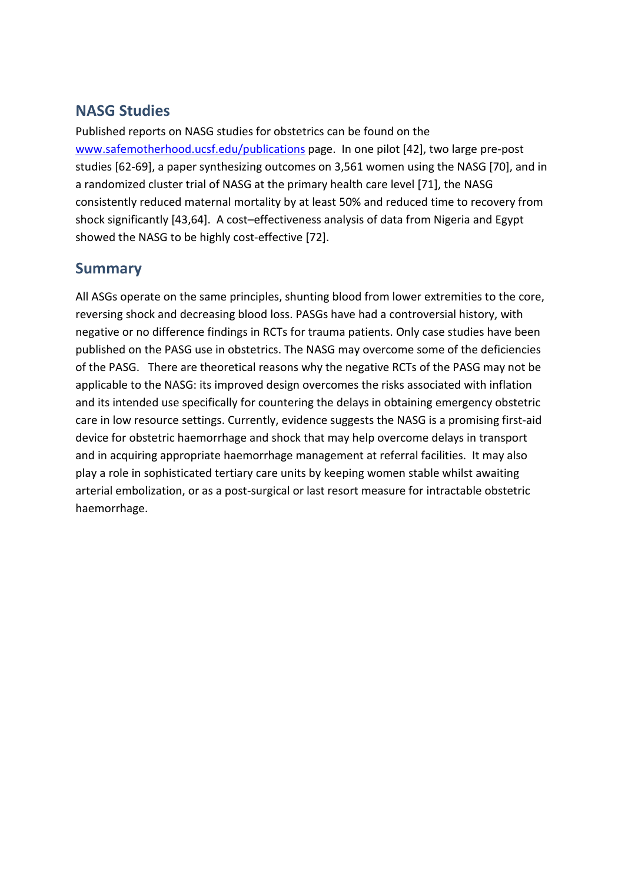## **NASG Studies**

Published reports on NASG studies for obstetrics can be found on the [www.safemotherhood.ucsf.edu/publications](http://www.safemotherhood.ucsf.edu/publications/) page. In one pilot [\[42\]](#page-10-1), two large pre-post studies [\[62-69\]](#page-11-0), a paper synthesizing outcomes on 3,561 women using the NASG [\[70\]](#page-11-1), and in a randomized cluster trial of NASG at the primary health care level [\[71\]](#page-11-2), the NASG consistently reduced maternal mortality by at least 50% and reduced time to recovery from shock significantly [\[43](#page-10-5)[,64\]](#page-11-3). A cost–effectiveness analysis of data from Nigeria and Egypt showed the NASG to be highly cost-effective [\[72\]](#page-11-4).

## **Summary**

All ASGs operate on the same principles, shunting blood from lower extremities to the core, reversing shock and decreasing blood loss. PASGs have had a controversial history, with negative or no difference findings in RCTs for trauma patients. Only case studies have been published on the PASG use in obstetrics. The NASG may overcome some of the deficiencies of the PASG. There are theoretical reasons why the negative RCTs of the PASG may not be applicable to the NASG: its improved design overcomes the risks associated with inflation and its intended use specifically for countering the delays in obtaining emergency obstetric care in low resource settings. Currently, evidence suggests the NASG is a promising first-aid device for obstetric haemorrhage and shock that may help overcome delays in transport and in acquiring appropriate haemorrhage management at referral facilities. It may also play a role in sophisticated tertiary care units by keeping women stable whilst awaiting arterial embolization, or as a post-surgical or last resort measure for intractable obstetric haemorrhage.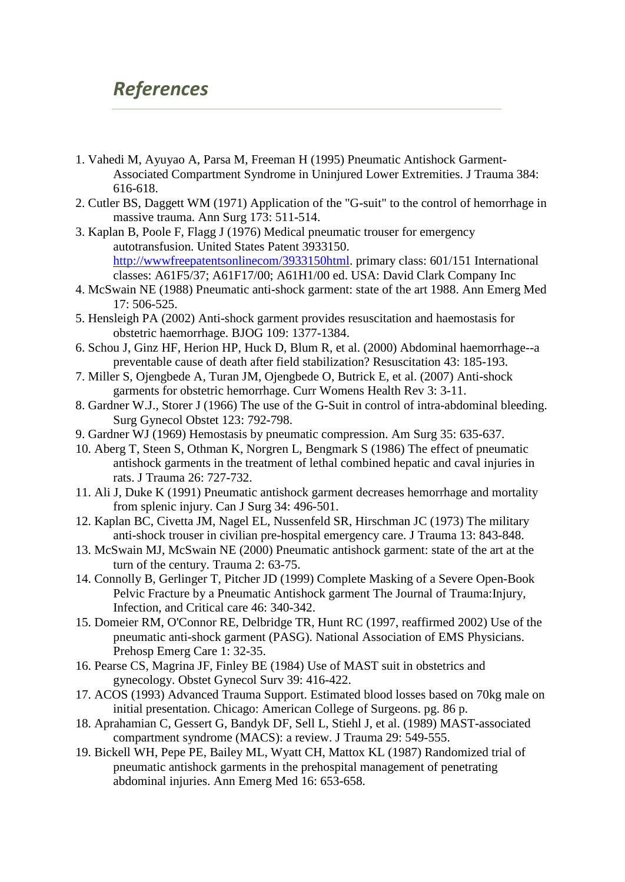## *References*

- <span id="page-8-0"></span>1. Vahedi M, Ayuyao A, Parsa M, Freeman H (1995) Pneumatic Antishock Garment-Associated Compartment Syndrome in Uninjured Lower Extremities. J Trauma 384: 616-618.
- <span id="page-8-1"></span>2. Cutler BS, Daggett WM (1971) Application of the "G-suit" to the control of hemorrhage in massive trauma. Ann Surg 173: 511-514.
- <span id="page-8-2"></span>3. Kaplan B, Poole F, Flagg J (1976) Medical pneumatic trouser for emergency autotransfusion. United States Patent 3933150. [http://wwwfreepatentsonlinecom/3933150html.](http://wwwfreepatentsonlinecom/3933150html) primary class: 601/151 International classes: A61F5/37; A61F17/00; A61H1/00 ed. USA: David Clark Company Inc
- <span id="page-8-3"></span>4. McSwain NE (1988) Pneumatic anti-shock garment: state of the art 1988. Ann Emerg Med 17: 506-525.
- <span id="page-8-4"></span>5. Hensleigh PA (2002) Anti-shock garment provides resuscitation and haemostasis for obstetric haemorrhage. BJOG 109: 1377-1384.
- <span id="page-8-5"></span>6. Schou J, Ginz HF, Herion HP, Huck D, Blum R, et al. (2000) Abdominal haemorrhage--a preventable cause of death after field stabilization? Resuscitation 43: 185-193.
- <span id="page-8-6"></span>7. Miller S, Ojengbede A, Turan JM, Ojengbede O, Butrick E, et al. (2007) Anti-shock garments for obstetric hemorrhage. Curr Womens Health Rev 3: 3-11.
- <span id="page-8-7"></span>8. Gardner W.J., Storer J (1966) The use of the G-Suit in control of intra-abdominal bleeding. Surg Gynecol Obstet 123: 792-798.
- 9. Gardner WJ (1969) Hemostasis by pneumatic compression. Am Surg 35: 635-637.
- 10. Aberg T, Steen S, Othman K, Norgren L, Bengmark S (1986) The effect of pneumatic antishock garments in the treatment of lethal combined hepatic and caval injuries in rats. J Trauma 26: 727-732.
- 11. Ali J, Duke K (1991) Pneumatic antishock garment decreases hemorrhage and mortality from splenic injury. Can J Surg 34: 496-501.
- <span id="page-8-8"></span>12. Kaplan BC, Civetta JM, Nagel EL, Nussenfeld SR, Hirschman JC (1973) The military anti-shock trouser in civilian pre-hospital emergency care. J Trauma 13: 843-848.
- <span id="page-8-9"></span>13. McSwain MJ, McSwain NE (2000) Pneumatic antishock garment: state of the art at the turn of the century. Trauma 2: 63-75.
- <span id="page-8-10"></span>14. Connolly B, Gerlinger T, Pitcher JD (1999) Complete Masking of a Severe Open-Book Pelvic Fracture by a Pneumatic Antishock garment The Journal of Trauma:Injury, Infection, and Critical care 46: 340-342.
- <span id="page-8-14"></span>15. Domeier RM, O'Connor RE, Delbridge TR, Hunt RC (1997, reaffirmed 2002) Use of the pneumatic anti-shock garment (PASG). National Association of EMS Physicians. Prehosp Emerg Care 1: 32-35.
- 16. Pearse CS, Magrina JF, Finley BE (1984) Use of MAST suit in obstetrics and gynecology. Obstet Gynecol Surv 39: 416-422.
- <span id="page-8-11"></span>17. ACOS (1993) Advanced Trauma Support. Estimated blood losses based on 70kg male on initial presentation. Chicago: American College of Surgeons. pg. 86 p.
- <span id="page-8-12"></span>18. Aprahamian C, Gessert G, Bandyk DF, Sell L, Stiehl J, et al. (1989) MAST-associated compartment syndrome (MACS): a review. J Trauma 29: 549-555.
- <span id="page-8-13"></span>19. Bickell WH, Pepe PE, Bailey ML, Wyatt CH, Mattox KL (1987) Randomized trial of pneumatic antishock garments in the prehospital management of penetrating abdominal injuries. Ann Emerg Med 16: 653-658.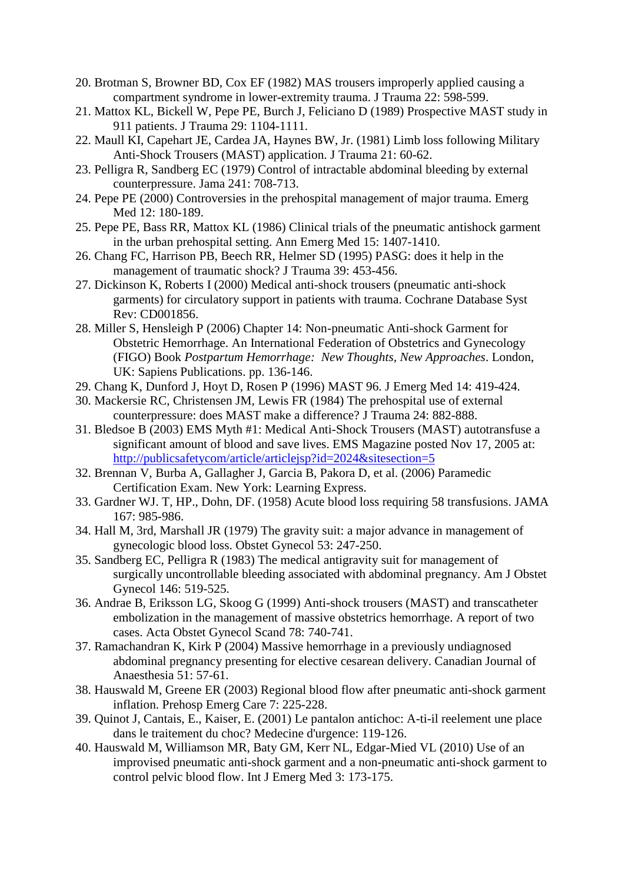- 20. Brotman S, Browner BD, Cox EF (1982) MAS trousers improperly applied causing a compartment syndrome in lower-extremity trauma. J Trauma 22: 598-599.
- <span id="page-9-1"></span>21. Mattox KL, Bickell W, Pepe PE, Burch J, Feliciano D (1989) Prospective MAST study in 911 patients. J Trauma 29: 1104-1111.
- 22. Maull KI, Capehart JE, Cardea JA, Haynes BW, Jr. (1981) Limb loss following Military Anti-Shock Trousers (MAST) application. J Trauma 21: 60-62.
- <span id="page-9-10"></span>23. Pelligra R, Sandberg EC (1979) Control of intractable abdominal bleeding by external counterpressure. Jama 241: 708-713.
- <span id="page-9-5"></span>24. Pepe PE (2000) Controversies in the prehospital management of major trauma. Emerg Med 12: 180-189.
- <span id="page-9-0"></span>25. Pepe PE, Bass RR, Mattox KL (1986) Clinical trials of the pneumatic antishock garment in the urban prehospital setting. Ann Emerg Med 15: 1407-1410.
- <span id="page-9-2"></span>26. Chang FC, Harrison PB, Beech RR, Helmer SD (1995) PASG: does it help in the management of traumatic shock? J Trauma 39: 453-456.
- <span id="page-9-3"></span>27. Dickinson K, Roberts I (2000) Medical anti-shock trousers (pneumatic anti-shock garments) for circulatory support in patients with trauma. Cochrane Database Syst Rev: CD001856.
- <span id="page-9-4"></span>28. Miller S, Hensleigh P (2006) Chapter 14: Non-pneumatic Anti-shock Garment for Obstetric Hemorrhage. An International Federation of Obstetrics and Gynecology (FIGO) Book *Postpartum Hemorrhage: New Thoughts, New Approaches*. London, UK: Sapiens Publications. pp. 136-146.
- <span id="page-9-6"></span>29. Chang K, Dunford J, Hoyt D, Rosen P (1996) MAST 96. J Emerg Med 14: 419-424.
- <span id="page-9-7"></span>30. Mackersie RC, Christensen JM, Lewis FR (1984) The prehospital use of external counterpressure: does MAST make a difference? J Trauma 24: 882-888.
- <span id="page-9-8"></span>31. Bledsoe B (2003) EMS Myth #1: Medical Anti-Shock Trousers (MAST) autotransfuse a significant amount of blood and save lives. EMS Magazine posted Nov 17, 2005 at: <http://publicsafetycom/article/articlejsp?id=2024&sitesection=5>
- <span id="page-9-9"></span>32. Brennan V, Burba A, Gallagher J, Garcia B, Pakora D, et al. (2006) Paramedic Certification Exam. New York: Learning Express.
- <span id="page-9-11"></span>33. Gardner WJ. T, HP., Dohn, DF. (1958) Acute blood loss requiring 58 transfusions. JAMA 167: 985-986.
- 34. Hall M, 3rd, Marshall JR (1979) The gravity suit: a major advance in management of gynecologic blood loss. Obstet Gynecol 53: 247-250.
- 35. Sandberg EC, Pelligra R (1983) The medical antigravity suit for management of surgically uncontrollable bleeding associated with abdominal pregnancy. Am J Obstet Gynecol 146: 519-525.
- 36. Andrae B, Eriksson LG, Skoog G (1999) Anti-shock trousers (MAST) and transcatheter embolization in the management of massive obstetrics hemorrhage. A report of two cases. Acta Obstet Gynecol Scand 78: 740-741.
- 37. Ramachandran K, Kirk P (2004) Massive hemorrhage in a previously undiagnosed abdominal pregnancy presenting for elective cesarean delivery. Canadian Journal of Anaesthesia 51: 57-61.
- <span id="page-9-12"></span>38. Hauswald M, Greene ER (2003) Regional blood flow after pneumatic anti-shock garment inflation. Prehosp Emerg Care 7: 225-228.
- <span id="page-9-13"></span>39. Quinot J, Cantais, E., Kaiser, E. (2001) Le pantalon antichoc: A-ti-il reelement une place dans le traitement du choc? Medecine d'urgence: 119-126.
- <span id="page-9-14"></span>40. Hauswald M, Williamson MR, Baty GM, Kerr NL, Edgar-Mied VL (2010) Use of an improvised pneumatic anti-shock garment and a non-pneumatic anti-shock garment to control pelvic blood flow. Int J Emerg Med 3: 173-175.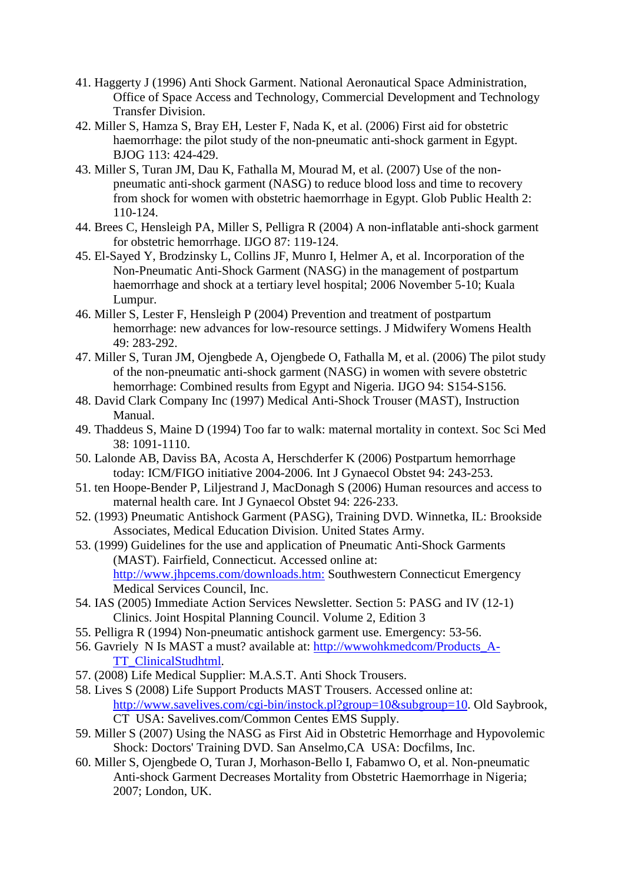- <span id="page-10-0"></span>41. Haggerty J (1996) Anti Shock Garment. National Aeronautical Space Administration, Office of Space Access and Technology, Commercial Development and Technology Transfer Division.
- <span id="page-10-1"></span>42. Miller S, Hamza S, Bray EH, Lester F, Nada K, et al. (2006) First aid for obstetric haemorrhage: the pilot study of the non-pneumatic anti-shock garment in Egypt. BJOG 113: 424-429.
- <span id="page-10-5"></span>43. Miller S, Turan JM, Dau K, Fathalla M, Mourad M, et al. (2007) Use of the nonpneumatic anti-shock garment (NASG) to reduce blood loss and time to recovery from shock for women with obstetric haemorrhage in Egypt. Glob Public Health 2: 110-124.
- 44. Brees C, Hensleigh PA, Miller S, Pelligra R (2004) A non-inflatable anti-shock garment for obstetric hemorrhage. IJGO 87: 119-124.
- 45. El-Sayed Y, Brodzinsky L, Collins JF, Munro I, Helmer A, et al. Incorporation of the Non-Pneumatic Anti-Shock Garment (NASG) in the management of postpartum haemorrhage and shock at a tertiary level hospital; 2006 November 5-10; Kuala Lumpur.
- 46. Miller S, Lester F, Hensleigh P (2004) Prevention and treatment of postpartum hemorrhage: new advances for low-resource settings. J Midwifery Womens Health 49: 283-292.
- 47. Miller S, Turan JM, Ojengbede A, Ojengbede O, Fathalla M, et al. (2006) The pilot study of the non-pneumatic anti-shock garment (NASG) in women with severe obstetric hemorrhage: Combined results from Egypt and Nigeria. IJGO 94: S154-S156.
- <span id="page-10-2"></span>48. David Clark Company Inc (1997) Medical Anti-Shock Trouser (MAST), Instruction Manual.
- <span id="page-10-3"></span>49. Thaddeus S, Maine D (1994) Too far to walk: maternal mortality in context. Soc Sci Med 38: 1091-1110.
- 50. Lalonde AB, Daviss BA, Acosta A, Herschderfer K (2006) Postpartum hemorrhage today: ICM/FIGO initiative 2004-2006. Int J Gynaecol Obstet 94: 243-253.
- 51. ten Hoope-Bender P, Liljestrand J, MacDonagh S (2006) Human resources and access to maternal health care. Int J Gynaecol Obstet 94: 226-233.
- <span id="page-10-4"></span>52. (1993) Pneumatic Antishock Garment (PASG), Training DVD. Winnetka, IL: Brookside Associates, Medical Education Division. United States Army.
- 53. (1999) Guidelines for the use and application of Pneumatic Anti-Shock Garments (MAST). Fairfield, Connecticut. Accessed online at: <http://www.jhpcems.com/downloads.htm:> Southwestern Connecticut Emergency Medical Services Council, Inc.
- 54. IAS (2005) Immediate Action Services Newsletter. Section 5: PASG and IV (12-1) Clinics. Joint Hospital Planning Council. Volume 2, Edition 3
- 55. Pelligra R (1994) Non-pneumatic antishock garment use. Emergency: 53-56.
- 56. Gavriely N Is MAST a must? available at: [http://wwwohkmedcom/Products\\_A-](http://wwwohkmedcom/Products_A-TT_ClinicalStudhtml)[TT\\_ClinicalStudhtml.](http://wwwohkmedcom/Products_A-TT_ClinicalStudhtml)
- 57. (2008) Life Medical Supplier: M.A.S.T. Anti Shock Trousers.
- 58. Lives S (2008) Life Support Products MAST Trousers. Accessed online at: [http://www.savelives.com/cgi-bin/instock.pl?group=10&subgroup=10.](http://www.savelives.com/cgi-bin/instock.pl?group=10&subgroup=10) Old Saybrook, CT USA: Savelives.com/Common Centes EMS Supply.
- 59. Miller S (2007) Using the NASG as First Aid in Obstetric Hemorrhage and Hypovolemic Shock: Doctors' Training DVD. San Anselmo,CA USA: Docfilms, Inc.
- 60. Miller S, Ojengbede O, Turan J, Morhason-Bello I, Fabamwo O, et al. Non-pneumatic Anti-shock Garment Decreases Mortality from Obstetric Haemorrhage in Nigeria; 2007; London, UK.